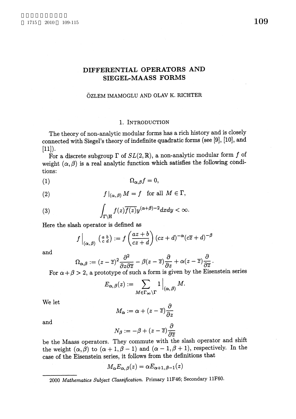# DIFFERENTIAL OPERATORS AND SIEGEL-MAASS FORMS

## \"OZLEM IMAMOGLU AND OLAV K. RICHTER

## 1. INTRODUCTION

The theory of non-analytic modular forms has a rich history and is closely connected with Siegel's theory of indefinite quadratic forms (see [9], [10], and  $[11]).$ 

For a discrete subgroup  $\Gamma$  of  $SL(2, \mathbb{R})$ , a non-analytic modular form  $f$  of weight  $(\alpha, \beta)$  is a real analytic function which satisfies the following conditions:

$$
(1) \hspace{3.1em} \Omega_{\alpha,\beta} f = 0,
$$

(2) 
$$
f|_{(\alpha,\beta)} M = f \text{ for all } M \in \Gamma,
$$

(3) 
$$
\int_{\Gamma \backslash \mathbb{H}} f(z) \overline{f(z)} y^{(\alpha+\beta)-2} dx dy < \infty.
$$

Here the slash operator is defined as

$$
f\Big|_{(\alpha,\,\beta)}\,\left(\begin{smallmatrix} a & b \\ c & d \end{smallmatrix}\right) := f\left(\frac{az+b}{cz+d}\right)(cz+d)^{-\alpha}(c\overline{z}+d)^{-\beta}
$$

and

$$
\Omega_{\alpha,\beta} := (z-\overline{z})^2 \frac{\partial^2}{\partial z \partial \overline{z}} - \beta(z-\overline{z}) \frac{\partial}{\partial z} + \alpha(z-\overline{z}) \frac{\partial}{\partial \overline{z}}.
$$

For  $\alpha+\beta>2$ , a prototype of such a form is given by the Eisenstein series

$$
E_{\alpha,\,\beta}(z) := \sum_{M \in \Gamma_{\infty} \backslash \Gamma} 1 \Big|_{(\alpha,\,\beta)} M.
$$

We let

$$
M_{\alpha} := \alpha + (z - \overline{z}) \frac{\partial}{\partial z}
$$

and

$$
N_{\beta}:=-\beta+(z-\overline{z})\frac{\partial}{\partial \overline{z}}
$$

be the Maass operators. They commute with the slash operator and shift the weight  $(\alpha, \beta)$  to  $(\alpha+1, \beta-1)$  and  $(\alpha-1, \beta+1)$ , respectively. In the case of the Eisenstein series, it follows from the definitions that

$$
M_{\boldsymbol{\alpha}}E_{\boldsymbol{\alpha},\,\boldsymbol{\beta}}(z)=\alpha E_{\boldsymbol{\alpha}+1,\,\boldsymbol{\beta}-1}(z)
$$

<sup>2000</sup> Mathematics Subject Classification. Primary llF46; Secondary llF60.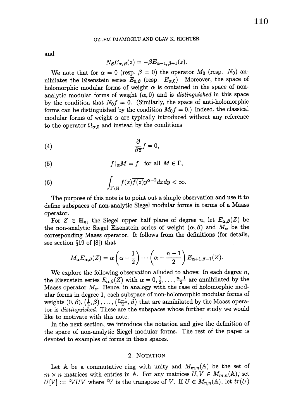#### \"OZLEM IMAMOGLU AND OLAV K. RICHTER

and

$$
N_{\beta}E_{\alpha,\beta}(z)=-\beta E_{\alpha-1,\beta+1}(z).
$$

We note that for  $\alpha=0$  (resp.  $\beta=0$ ) the operator  $M_{0}$  (resp.  $N_{0}$ ) annihilates the Eisenstein series  $E_{0,\beta}$  (resp.  $E_{\alpha,0}$ ). Moreover, the space of holomorphic modular forms of weight  $\alpha$  is contained in the space of nonanalytic modular forms of weight  $(\alpha, 0)$  and is *distinguished* in this space by the condition that  $N_{0}f=0$ . (Similarly, the space of anti-holomorphic forms can be distinguished by the condition  $M_{0}f=0.$  ) Indeed, the classical modular forms of weight  $\alpha$  are typically introduced without any reference to the operator  $\Omega_{\alpha,0}$  and instead by the conditions

,

$$
\frac{\partial}{\partial \overline{z}}f=0,
$$

(5) 
$$
f|_{\alpha}M = f \text{ for all } M \in \Gamma,
$$

(6) 
$$
\int_{\Gamma \backslash \mathbb{H}} f(z) \overline{f(z)} y^{\alpha - 2} dx dy < \infty.
$$

The purpose of this note is to point out a simple observation and use it to define subspaces of non-analytic Siegel modular forms in terms of a Maass operator.

For  $Z\, \in\, \mathbb{H}_{n},$  the Siegel upper half plane of degree n, let  $E_{\alpha,\beta}(Z)$  be the non-analytic Siegel Eisenstein series of weight  $(\alpha, \beta)$  and  $M_{\alpha}$  be the corresponding Maass operator. It follows from the definitions (for details, see section  $\S 19$  of  $[8]$  that

$$
M_{\alpha}E_{\alpha,\beta}(Z)=\alpha\left(\alpha-\frac{1}{2}\right)\cdots\left(\alpha-\frac{n-1}{2}\right)E_{\alpha+1,\beta-1}(Z).
$$

We explore the following observation alluded to above: In each degree  $n$ , the Eisenstein series  $E_{\alpha,\beta}(Z)$  with  $\alpha=0, \frac{1}{2}, \ldots, \frac{n-1}{2}$  are annihilated by the Maass operator  $M_{\alpha}$ . Hence, in analogy with the case of holomorphic modular forms in degree 1, each subspace of non-holomorphic modular forms of weights  $(0, \beta), (\frac{1}{2}, \beta), \ldots, (\frac{n-1}{2}, \beta)$  that are annihilated by the Maass operator is distinguished. These are the subspaces whose further study we would like to motivate with this note.

In the next section, we introduce the notation and give the definition of the space of non-analytic Siegel modular forms. The rest of the paper is devoted to examples of forms in these spaces.

### 2. NOTATION

Let A be a commutative ring with unity and  $M_{m,n}(\mathbb{A})$  be the set of  $m \times n$  matrices with entries in A. For any matrices  $U, V \in M_{m,n}(\mathbb{A})$ , set  $U[V] := {}^{t}VUV$  where  ${}^{t}V$  is the transpose of V. If  $U \in M_{n,n}(\mathbb{A})$ , let  $tr(U)$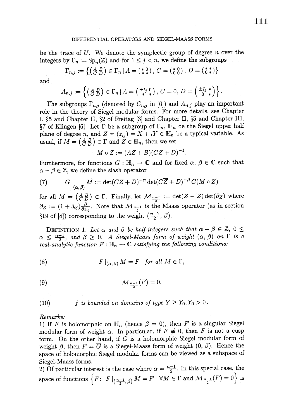#### DIFFERENTIAL OPERATORS AND SIEGEL-MAASS FORMS

be the trace of  $U$ . We denote the symplectic group of degree  $n$  over the integers by  $\Gamma_{n}:=\mathrm{Sp}_{n}(\mathbb{Z})$  and for  $1\leq j< n$ , we define the subgroups

$$
\Gamma_{n,j} := \left\{ \left( \begin{smallmatrix} A & B \\ C & D \end{smallmatrix} \right) \in \Gamma_n \, | \, A = \left( \begin{smallmatrix} * & 0 \\ * & * \end{smallmatrix} \right), \, C = \left( \begin{smallmatrix} * & 0 \\ 0 & 0 \end{smallmatrix} \right), \, D = \left( \begin{smallmatrix} * & * \\ 0 & * \end{smallmatrix} \right) \right\}
$$

and

$$
A_{n,j}:=\left\{\left(\begin{smallmatrix} A & B \\ C & D \end{smallmatrix}\right) \in \Gamma_n \, \middle| \, A=\left(\begin{smallmatrix} \pm I_j & 0 \\ * & * \end{smallmatrix}\right), \, C=0, \, D=\left(\begin{smallmatrix} \pm I_j & * \\ 0 & * \end{smallmatrix}\right)\right\}.
$$

The subgroups  $\Gamma_{n,j}$  (denoted by  $C_{n,j}$  in [6]) and  $A_{n,j}$  play an important role in the theory of Siegel modular forms. For more details, see Chapter I,  $\S 5$  and Chapter II,  $\S 2$  of Freitag [3] and Chapter II,  $\S 5$  and Chapter III,  $\S 7$  of Klingen [6]. Let  $\Gamma$  be a subgroup of  $\Gamma_{n}$ ,  $\mathbb{H}_{n}$  be the Siegel upper half plane of degree n, and  $Z=(z_{ij})=X+iY\in \mathbb{H}_{n}$  be a typical variable. As usual, if  $M = \begin{pmatrix} A & B \\ C & D \end{pmatrix} \in \Gamma$  and  $Z \in \mathbb{H}_{n}$ , then we set

$$
M \circ Z := (AZ + B)(CZ + D)^{-1}.
$$

Furthermore, for functions  $G : \mathbb{H}_{n} \rightarrow \mathbb{C}$  and for fixed  $\alpha, \beta \in \mathbb{C}$  such that  $\alpha-\beta\in \mathbb{Z},$  we define the slash operator

(7) 
$$
G\Big|_{(\alpha,\beta)} M := \det(CZ+D)^{-\alpha} \det(C\overline{Z}+D)^{-\beta} G(M\circ Z)
$$

for all  $M=\left(\begin{smallmatrix}A&B\\C&D\end{smallmatrix}\right)\in \Gamma.$  Finally, let  $\mathcal{M}_{\frac{n-1}{2}}:=\det(Z-\overline{Z})\det(\partial_{Z})$  where  $\partial_{Z}:=(1+\delta_{ij})\frac{\partial}{\partial z_{ij}}$ . Note that  $\mathcal{M}_{\frac{n-1}{2}}$  is the Maass operator (as in section  $\S 19$  of  $[8]$ ) corresponding to the weight  $\left( \frac{n-1}{2}, \beta \right)$ .

DEFINITION 1. Let  $\alpha$  and  $\beta$  be half-integers such that  $\alpha-\beta\in \mathbb{Z}$ ,  $0\leq$  $\alpha\,\leq\,\frac{n-1}{2}, \,$  and  $\beta\,\geq\, 0.$  . A Siegel-Maass form of weight  $(\alpha,\,\beta)$  on  $\Gamma$  is a real-analytic function  $F:\mathbb{H}_{n}\rightarrow \mathbb{C}$  satisfying the following conditions:

(8) 
$$
F|_{(\alpha,\beta)} M = F \quad \text{for all } M \in \Gamma,
$$

$$
\mathcal{M}_{\frac{n-1}{2}}(F)=0,
$$

(10) *f* is bounded on domains of type 
$$
Y \ge Y_0, Y_0 > 0
$$
.

## Remarks:

1) If F is holomorphic on  $\mathbb{H}_{n}$  (hence  $\beta=0$ ), then F is a singular Siegel modular form of weight  $\alpha$ . In particular, if  $F \not\equiv 0$ , then  $F$  is not a cusp form. On the other hand, if  $G$  is a holomorphic Siegel modular form of weight  $\beta$ , then  $F=\overline{G}$  is a Siegel-Maass form of weight  $(0, \beta)$ . Hence the space of holomorphic Siegel modular forms can be viewed as a subspace of Siegel-Maass forms.

2) Of particular interest is the case where  $\alpha=\frac{n-1}{2}$ . In this special case, the space of functions  $\{F\colon F|_{(\frac{n-1}{2},\beta)}M=F \quad \forall M\in \Gamma \text{ and } \mathcal{M}_{\frac{n-1}{2}}(F)=0\}$  is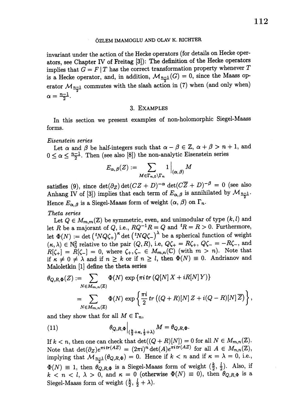invariant under the action of the Hecke operators (for details on Hecke operators, see Chapter IV of Freitag [3]): The definition of the Hecke operators implies that  $G=F|T$  has the correct transformation property whenever  $T$ is a Hecke operator, and, in addition,  $\mathcal{M}_{\frac{n-1}{2}}(G)=0$ , since the Maass operator  $\mathcal{M}_{\frac{n-1}{2}}$  commutes with the slash action in (7) when (and only when)  $\alpha=\div_{\overline{\sigma}^-}$  .

### 3. EXAMPLES

In this section we present examples of non-holomorphic Siegel-Maass forms.

### Eisenstein series

Let  $\alpha$  and  $\beta$  be half-integers such that  $\alpha-\beta\in \mathbb{Z}, \ \alpha+\beta>n+1$ , and  $0 \leq \alpha \leq \frac{n-1}{2}$ . Then (see also [8]) the non-analytic Eisenstein series

$$
E_{\boldsymbol{\alpha},\,\boldsymbol{\beta}}(Z):=\sum_{M\in\Gamma_{\boldsymbol{n},\boldsymbol{0}}\backslash\Gamma_{\boldsymbol{n}}}1\,\Big|_{(\boldsymbol{\alpha},\,\boldsymbol{\beta})}M
$$

satisfies (9), since  $\det(\partial_{Z})\det(CZ+D)^{-\alpha}\det(C\overline{Z}+D)^{-\beta}=0$  (see also Anhang IV of [3]) implies that each term of  $E_{\alpha,\beta}$  is annihilated by  $\mathcal{M}_{\frac{n-1}{2}}$ . Hence  $E_{\alpha,\beta}$  is a Siegel-Maass form of weight  $(\alpha, \beta)$  on  $\Gamma_{n}$ .

Theta series

Let  $Q \in M_{m,m}(\mathbb{Z})$  be symmetric, even, and unimodular of type  $(k, l)$  and let R be a majorant of Q, i.e.,  $RQ^{-1}R=Q$  and  ${}^{t}R=R>0$ . Furthermore, let  $\Phi(N) := \det({}^{t}NQ\zeta_{+})^{\kappa}\det({}^{t}NQ\zeta_{-})^{\lambda}$  be a spherical function of weight  $(\kappa, \lambda)\in \mathbb{N}_{0}^{2}$  relative to the pair  $(Q, R)$ , i.e,  $Q\zeta_{+}=R\zeta_{+}$ ,  $Q\zeta_{-}=-R\zeta_{-}$ , and  $R[\zeta_{+}]=R[\zeta_{-}]=0$ , where  $\zeta_{+}, \zeta_{-}\in M_{m,n}(\mathbb{C})$  (with  $m>n$ ). Note that if  $\kappa\neq 0\neq\lambda$  and if  $n\geq k$  or if  $n\geq l$ , then  $\Phi(N)\equiv 0$ . Andrianov and Maloletkin [1] define the theta series

$$
\theta_{Q,R,\Phi}(Z) := \sum_{N \in M_{m,n}(Z)} \Phi(N) \exp \{ \pi i \operatorname{tr} (Q[N] X + iR[N] Y) \}
$$
  
= 
$$
\sum_{N \in M_{m,n}(Z)} \Phi(N) \exp \left\{ \frac{\pi i}{2} \operatorname{tr} ((Q+R)[N] Z + i(Q-R)[N] \overline{Z}) \right\},
$$

and they show that for all  $M\in\Gamma_{n}$ ,

(11) 
$$
\theta_{Q,R,\Phi}\Big|_{(\frac{k}{2}+\kappa,\frac{l}{2}+\lambda)}M=\theta_{Q,R,\Phi}.
$$

If  $k < n$ , then one can check that  $\det((Q+R)[N])=0$  for all  $N\in M_{m,n}(\mathbb{Z})$ . Note that  $\det(\partial_{Z})e^{\pi i tr(AZ)}=(2\pi i)^{\hat{n}}\det(A)e^{\pi i tr(AZ)}$  for all  $A\in M_{n,n}(\mathbb{Z}),$ implying that  $\mathcal{M}_{\frac{n-1}{2}}(\theta_{Q,R,\Phi})=0$ . Hence if  $k < n$  and if  $\kappa=\lambda=0$ , i.e.,  $\Phi(N)\equiv 1,$  then  $\theta_{Q,R,\Phi}$  is a Siegel-Maass form of weight  $( \frac{k}{2}, \frac{l}{2}).$  Also, if  $k$  < n < l,  $\lambda > 0$ , and  $\kappa = 0$  (otherwise  $\Phi(N) \equiv 0$ ), then  $\theta_{Q,R,\Phi}$  is a Siegel-Maass form of weight  $(\frac{k}{2}, \frac{l}{2}+\lambda).$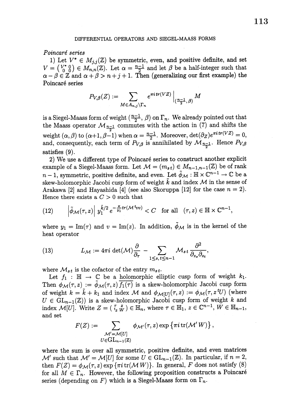#### DIFFERENTIAL OPERATORS AND SIEGEL-MAASS FORMS

### Poincaré series

1) Let  $V^{*}\in M_{j,j}(\mathbb{Z})$  be symmetric, even, and positive definite, and set  $V=\begin{pmatrix}V^{*}&0\\0&0\end{pmatrix}\in M_{n,n}(\mathbb{Z})$ . Let  $\alpha=\frac{n-1}{2}$  and let  $\beta$  be a half-integer such that  $\alpha-\beta\in \mathbb{Z}$  and  $\alpha+\beta>n+j+1$ . Then (generalizing our first example) the Poincaré series

$$
P_{V,\beta}(Z):=\sum_{M\in A_{n,j}\backslash \Gamma_n}e^{\pi i\,tr(VZ)}\,\Big|_{(\frac{n-1}{2},\,\beta)}\,M\,
$$

is a Siegel-Maass form of weight  $( \frac{n-1}{2}, \beta)$  on  $\Gamma_{n}$ . We already pointed out that the Maass operator  $\mathcal{M}_{\frac{n-1}{2}}$  commutes with the action in (7) and shifts the weight  $(\alpha, \beta)$  to  $(\alpha+1, \beta-1)$  when  $\alpha=\frac{n-1}{2}$ . Moreover,  $\det(\partial_{Z})e^{\pi i \, tr(VZ)}=0,$ and, consequently, each term of  $P_{V,\beta}$  is annihilated by  $\mathcal{M}_{\frac{n-1}{2}}$ . Hence  $P_{V,\beta}$ satisfies (9).

2) We use a different type of Poincaré series to construct another explicit example of a Siegel-Maass form. Let  $\mathcal{M}=(m_{s,t})\in M_{n-1,n-1}(\mathbb{Z})$  be of rank  $n-1,$  symmetric, positive definite, and even. Let  $\tilde{\phi}_{\mathcal{M}} : \mathbb{H}\times \mathbb{C}^{n-1}\to \mathbb{C}$  be a skew-holomorphic Jacobi cusp form of weight  $\tilde{k}$  and index  $\mathcal{M}$  in the sense of Arakawa [2] and Hayashida [4] (see also Skoruppa [12] for the case  $n=2$ ). Hence there exists a  $C>0$  such that

(12) 
$$
\left|\tilde{\phi}_{\mathcal{M}}(\tau,z)\right| \, y_1^{\tilde{k}/2} \, e^{-\frac{\pi}{y_1} tr(\mathcal{M}^t v v)} < C \quad \text{for all} \quad (\tau,z) \in \mathbb{H} \times \mathbb{C}^{n-1},
$$

where  $y_{1}={\rm Im}(\tau)$  and  $v={\rm Im}(z)$ . In addition,  $\tilde{\phi}_{\mathcal{M}}$  is in the kernel of the heat operator

(13) 
$$
L_{\mathcal{M}} := 4\pi i \det(\mathcal{M}) \frac{\partial}{\partial_{\tau}} - \sum_{1 \leq s, t \leq n-1} \mathcal{M}_{st} \frac{\partial^2}{\partial_{z_s} \partial_{z_t}},
$$

where  $\mathcal{M}_{st}$  is the cofactor of the entry  $m_{st}$ .

Let  $f_{1} : \mathbb{H} \rightarrow \mathbb{C}$  be a holomorphic elliptic cusp form of weight  $k_{1}$ . Then  $\phi_{\mathcal{M}}(\tau, z) := \tilde{\phi}_{\mathcal{M}}(\tau, z)\overline{f_{1}(\tau)}$  is a skew-holomorphic Jacobi cusp form of weight  $k=\tilde{k}+k_{1}$  and index  $\mathcal{M}$  and  $\phi_{\mathcal{M}[U]}(\tau, z) :=\phi_{\mathcal{M}}(\tau, z^{t}U)$  (where  $U \in GL_{n-1}(\mathbb{Z})$  is a skew-holomorphic Jacobi cusp form of weight k and index  $\mathcal{M}[U]$ . Write  $Z=(\begin{bmatrix} t & z \ z & W \end{bmatrix})\in \mathbb{H}_{n}$ , where  $\tau\in \mathbb{H}_{1}, z\in \mathbb{C}^{n-1}, W\in \mathbb{H}_{n-1}$ , and set

$$
F(Z) := \sum_{\substack{\mathcal{M}' = \mathcal{M}[U] \\ U \in GL_{n-1}(\mathbb{Z})}} \phi_{\mathcal{M}'}(\tau, z) \exp \{ \pi i \operatorname{tr}(\mathcal{M}'W) \},
$$

where the sum is over all symmetric, positive definite, and even matrices  $\mathcal{M}'$  such that  $\mathcal{M}'=\mathcal{M}[U]$  for some  $U\in \mathrm{GL}_{n-1}(\mathbb{Z})$ . In particular, if  $n=2$ , then  $F(Z)=\phi_{\mathcal{M}}(\tau, z)\exp{\{\pi i \operatorname{tr}(\mathcal{M}\,W)\}}$ . In general,  $F$  does not satisfy  $(8)$ for all  $M\in\Gamma_{n}$ . However, the following proposition constructs a Poincaré series (depending on  $F)$  which is a Siegel-Maass form on  $\Gamma_{n}$ .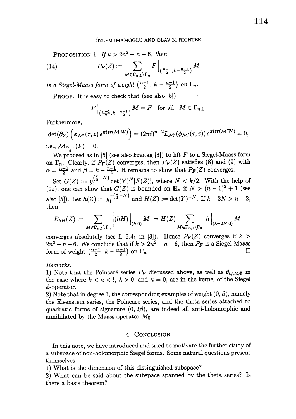PROPOSITION 1. If  $k>2n^{2}-n+6$ , then

(14) 
$$
P_F(Z) := \sum_{M \in \Gamma_{n,1} \backslash \Gamma_n} F \Big|_{\left(\frac{n-1}{2}, \, k - \frac{n-1}{2}\right)} M
$$

is a Siegel-Maass form of weight  $( \frac{n-1}{2}, k- \frac{n-1}{2})$  on  $\Gamma_{n}$ .

PROOF: It is easy to check that (see also [5])

$$
F\Big|_{\left(\frac{n-1}{2},\,k-\frac{n-1}{2}\right)}M = F \quad \text{for all} \quad M \in \Gamma_{n,1}.
$$

Furthermore,

$$
\det(\partial_Z) \left( \phi_{\mathcal{M}'}(\tau, z) e^{\pi i tr(\mathcal{M}'W)} \right) = (2\pi i)^{n-2} L_{\mathcal{M}'}(\phi_{\mathcal{M}'}(\tau, z)) e^{\pi i tr(\mathcal{M}'W)} = 0,
$$
  
i.e.,  $\mathcal{M}_{n-1}(F) = 0$ .

We proceed as in [5] (see also Freitag [3]) to lift  $F$  to a Siegel-Maass form on  $\Gamma_{n}$ . Clearly, if  $P_{F}(Z)$  converges, then  $P_{F}(Z)$  satisfies (8) and (9) with  $\alpha=\frac{n-1}{2}$  and  $\beta=k-\frac{n-1}{2}$ . It remains to show that  $P_{F}(Z)$  converges.

Set  $G(Z) := y_{1}^{(\frac{n}{2}-N)}\det(Y)^{N}|F(Z)|$ , where  $N < k/2$ . With the help of (12), one can show that  $G(Z)$  is bounded on  $\mathbb{H}_{n}$  if  $N>(n-1)^{2}+1$  (see also [5]). Let  $h(Z) := y_{1}^{-(\frac{Z}{2}-N)}$  and  $H(Z) := \det(Y)^{-N}$ . If  $k-2N > n+2$ , then

$$
E_{hH}(Z) := \sum_{M \in \Gamma_{n,1} \backslash \Gamma_n} \left| (hH) \right|_{(k,0)} M \right| = H(Z) \sum_{M \in \Gamma_{n,1} \backslash \Gamma_n} \left| h \right|_{(k-2N,0)} M \right|
$$

converges absolutely (see I. 5.4<sub>1</sub> in [3]). Hence  $P_{F}(Z)$  converges if  $k>$  $2n^{2}-n+6.$  We conclude that if  $k>2n^{2}-n+6,$  then  $P_{F}$  is a Siegel-Maass form of weight  $( \frac{n-1}{2}, k - \frac{n-1}{2} )$  on  $\Gamma_{n}$ .  $\Box$ 

## Remarks:

1) Note that the Poincaré series  $P_{F}$  discussed above, as well as  $\theta_{Q,R,\Phi}$  in the case where  $k < n < l$ ,  $\lambda > 0$ , and  $\kappa = 0$ , are in the kernel of the Siegel  $\phi$ -operator.

2) Note that in degree 1, the corresponding examples of weight  $(0, \beta)$ , namely the Eisenstein series, the Poincare series, and the theta series attached to quadratic forms of signature  $(0,2\beta)$ , are indeed all anti-holomorphic and annihilated by the Maass operator  $M_{0}.$ 

## 4. CONCLUSION

In this note, we have introduced and tried to motivate the further study of a subspace of non-holomorphic Siegel forms. Some natural questions present themselves:

1) What is the dimension of this distinguished subspace?

2) What can be said about the subspace spanned by the theta series? Is there a basis theorem?